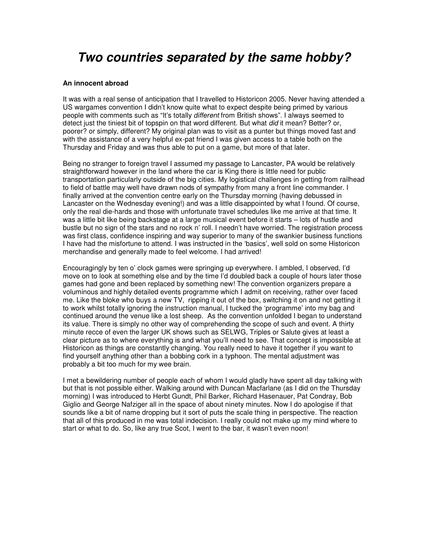# *Two countries separated by the same hobby?*

#### **An innocent abroad**

It was with a real sense of anticipation that I travelled to Historicon 2005. Never having attended a US wargames convention I didn't know quite what to expect despite being primed by various people with comments such as "It's totally *different* from British shows". I always seemed to detect just the tiniest bit of topspin on that word different. But what *did* it mean? Better? or, poorer? or simply, different? My original plan was to visit as a punter but things moved fast and with the assistance of a very helpful ex-pat friend I was given access to a table both on the Thursday and Friday and was thus able to put on a game, but more of that later.

Being no stranger to foreign travel I assumed my passage to Lancaster, PA would be relatively straightforward however in the land where the car is King there is little need for public transportation particularly outside of the big cities. My logistical challenges in getting from railhead to field of battle may well have drawn nods of sympathy from many a front line commander. I finally arrived at the convention centre early on the Thursday morning (having debussed in Lancaster on the Wednesday evening!) and was a little disappointed by what I found. Of course, only the real die-hards and those with unfortunate travel schedules like me arrive at that time. It was a little bit like being backstage at a large musical event before it starts – lots of hustle and bustle but no sign of the stars and no rock n' roll. I needn't have worried. The registration process was first class, confidence inspiring and way superior to many of the swankier business functions I have had the misfortune to attend. I was instructed in the 'basics', well sold on some Historicon merchandise and generally made to feel welcome. I had arrived!

Encouragingly by ten o' clock games were springing up everywhere. I ambled, I observed, I'd move on to look at something else and by the time I'd doubled back a couple of hours later those games had gone and been replaced by something new! The convention organizers prepare a voluminous and highly detailed events programme which I admit on receiving, rather over faced me. Like the bloke who buys a new TV, ripping it out of the box, switching it on and not getting it to work whilst totally ignoring the instruction manual, I tucked the 'programme' into my bag and continued around the venue like a lost sheep. As the convention unfolded I began to understand its value. There is simply no other way of comprehending the scope of such and event. A thirty minute recce of even the larger UK shows such as SELWG, Triples or Salute gives at least a clear picture as to where everything is and what you'll need to see. That concept is impossible at Historicon as things are constantly changing. You really need to have it together if you want to find yourself anything other than a bobbing cork in a typhoon. The mental adjustment was probably a bit too much for my wee brain.

I met a bewildering number of people each of whom I would gladly have spent all day talking with but that is not possible either. Walking around with Duncan Macfarlane (as I did on the Thursday morning) I was introduced to Herbt Gundt, Phil Barker, Richard Hasenauer, Pat Condray, Bob Giglio and George Nafziger all in the space of about ninety minutes. Now I do apologise if that sounds like a bit of name dropping but it sort of puts the scale thing in perspective. The reaction that all of this produced in me was total indecision. I really could not make up my mind where to start or what to do. So, like any true Scot, I went to the bar, it wasn't even noon!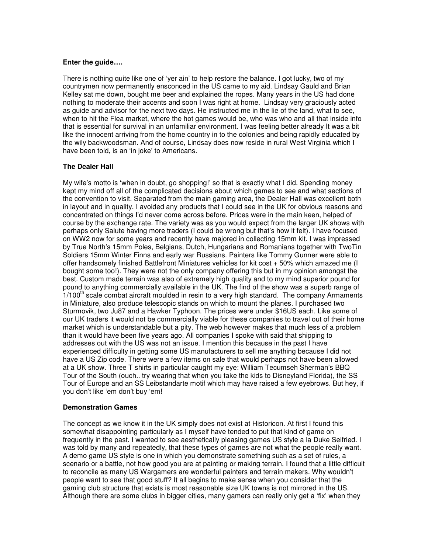## **Enter the guide….**

There is nothing quite like one of 'yer ain' to help restore the balance. I got lucky, two of my countrymen now permanently ensconced in the US came to my aid. Lindsay Gauld and Brian Kelley sat me down, bought me beer and explained the ropes. Many years in the US had done nothing to moderate their accents and soon I was right at home. Lindsay very graciously acted as guide and advisor for the next two days. He instructed me in the lie of the land, what to see, when to hit the Flea market, where the hot games would be, who was who and all that inside info that is essential for survival in an unfamiliar environment. I was feeling better already It was a bit like the innocent arriving from the home country in to the colonies and being rapidly educated by the wily backwoodsman. And of course, Lindsay does now reside in rural West Virginia which I have been told, is an 'in joke' to Americans.

## **The Dealer Hall**

My wife's motto is 'when in doubt, go shopping!' so that is exactly what I did. Spending money kept my mind off all of the complicated decisions about which games to see and what sections of the convention to visit. Separated from the main gaming area, the Dealer Hall was excellent both in layout and in quality. I avoided any products that I could see in the UK for obvious reasons and concentrated on things I'd never come across before. Prices were in the main keen, helped of course by the exchange rate. The variety was as you would expect from the larger UK shows with perhaps only Salute having more traders (I could be wrong but that's how it felt). I have focused on WW2 now for some years and recently have majored in collecting 15mm kit. I was impressed by True North's 15mm Poles, Belgians, Dutch, Hungarians and Romanians together with TwoTin Soldiers 15mm Winter Finns and early war Russians. Painters like Tommy Gunner were able to offer handsomely finished Battlefront Miniatures vehicles for kit cost + 50% which amazed me (I bought some too!). They were not the only company offering this but in my opinion amongst the best. Custom made terrain was also of extremely high quality and to my mind superior pound for pound to anything commercially available in the UK. The find of the show was a superb range of 1/100<sup>th</sup> scale combat aircraft moulded in resin to a very high standard. The company Armaments in Miniature, also produce telescopic stands on which to mount the planes. I purchased two Sturmovik, two Ju87 and a Hawker Typhoon. The prices were under \$16US each. Like some of our UK traders it would not be commercially viable for these companies to travel out of their home market which is understandable but a pity. The web however makes that much less of a problem than it would have been five years ago. All companies I spoke with said that shipping to addresses out with the US was not an issue. I mention this because in the past I have experienced difficulty in getting some US manufacturers to sell me anything because I did not have a US Zip code. There were a few items on sale that would perhaps not have been allowed at a UK show. Three T shirts in particular caught my eye: William Tecumseh Sherman's BBQ Tour of the South (ouch.. try wearing that when you take the kids to Disneyland Florida), the SS Tour of Europe and an SS Leibstandarte motif which may have raised a few eyebrows. But hey, if you don't like 'em don't buy 'em!

## **Demonstration Games**

The concept as we know it in the UK simply does not exist at Historicon. At first I found this somewhat disappointing particularly as I myself have tended to put that kind of game on frequently in the past. I wanted to see aesthetically pleasing games US style a la Duke Seifried. I was told by many and repeatedly, that these types of games are not what the people really want. A demo game US style is one in which you demonstrate something such as a set of rules, a scenario or a battle, not how good you are at painting or making terrain. I found that a little difficult to reconcile as many US Wargamers are wonderful painters and terrain makers. Why wouldn't people want to see that good stuff? It all begins to make sense when you consider that the gaming club structure that exists is most reasonable size UK towns is not mirrored in the US. Although there are some clubs in bigger cities, many gamers can really only get a 'fix' when they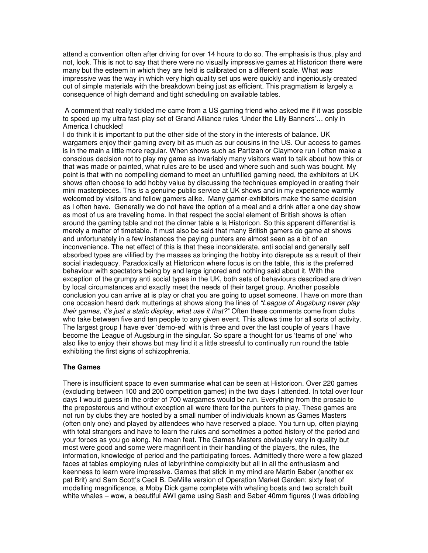attend a convention often after driving for over 14 hours to do so. The emphasis is thus, play and not, look. This is not to say that there were no visually impressive games at Historicon there were many but the esteem in which they are held is calibrated on a different scale. What *was* impressive was the way in which very high quality set ups were quickly and ingeniously created out of simple materials with the breakdown being just as efficient. This pragmatism is largely a consequence of high demand and tight scheduling on available tables.

A comment that really tickled me came from a US gaming friend who asked me if it was possible to speed up my ultra fast-play set of Grand Alliance rules 'Under the Lilly Banners'… only in America I chuckled!

I do think it is important to put the other side of the story in the interests of balance. UK wargamers enjoy their gaming every bit as much as our cousins in the US. Our access to games is in the main a little more regular. When shows such as Partizan or Claymore run I often make a conscious decision not to play my game as invariably many visitors want to talk about how this or that was made or painted, what rules are to be used and where such and such was bought. My point is that with no compelling demand to meet an unfulfilled gaming need, the exhibitors at UK shows often choose to add hobby value by discussing the techniques employed in creating their mini masterpieces. This *is* a genuine public service at UK shows and in my experience warmly welcomed by visitors and fellow gamers alike. Many gamer-exhibitors make the same decision as I often have. Generally we do not have the option of a meal and a drink after a one day show as most of us are traveling home. In that respect the social element of British shows is often around the gaming table and not the dinner table a la Historicon. So this apparent differential is merely a matter of timetable. It must also be said that many British gamers do game at shows and unfortunately in a few instances the paying punters are almost seen as a bit of an inconvenience. The net effect of this is that these inconsiderate, anti social and generally self absorbed types are vilified by the masses as bringing the hobby into disrepute as a result of their social inadequacy. Paradoxically at Historicon where focus is on the table, this is the preferred behaviour with spectators being by and large ignored and nothing said about it. With the exception of the grumpy anti social types in the UK, both sets of behaviours described are driven by local circumstances and exactly meet the needs of their target group. Another possible conclusion you can arrive at is play or chat you are going to upset someone. I have on more than one occasion heard dark mutterings at shows along the lines of *"League of Augsburg never play their games, it's just a static display, what use it that?"* Often these comments come from clubs who take between five and ten people to any given event. This allows time for all sorts of activity. The largest group I have ever 'demo-ed' with is three and over the last couple of years I have become the League of Augsburg in the singular. So spare a thought for us 'teams of one' who also like to enjoy their shows but may find it a little stressful to continually run round the table exhibiting the first signs of schizophrenia.

# **The Games**

There is insufficient space to even summarise what can be seen at Historicon. Over 220 games (excluding between 100 and 200 competition games) in the two days I attended. In total over four days I would guess in the order of 700 wargames would be run. Everything from the prosaic to the preposterous and without exception all were there for the punters to play. These games are not run by clubs they are hosted by a small number of individuals known as Games Masters (often only one) and played by attendees who have reserved a place. You turn up, often playing with total strangers and have to learn the rules and sometimes a potted history of the period and your forces as you go along. No mean feat. The Games Masters obviously vary in quality but most were good and some were magnificent in their handling of the players, the rules, the information, knowledge of period and the participating forces. Admittedly there were a few glazed faces at tables employing rules of labyrinthine complexity but all in all the enthusiasm and keenness to learn were impressive. Games that stick in my mind are Martin Baber (another ex pat Brit) and Sam Scott's Cecil B. DeMille version of Operation Market Garden; sixty feet of modelling magnificence, a Moby Dick game complete with whaling boats and two scratch built white whales – wow, a beautiful AWI game using Sash and Saber 40mm figures (I was dribbling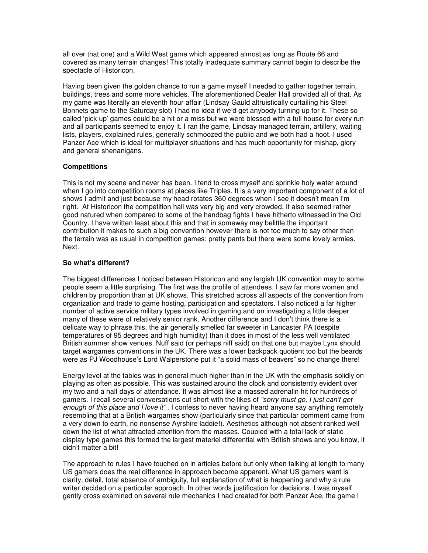all over that one) and a Wild West game which appeared almost as long as Route 66 and covered as many terrain changes! This totally inadequate summary cannot begin to describe the spectacle of Historicon.

Having been given the golden chance to run a game myself I needed to gather together terrain, buildings, trees and some more vehicles. The aforementioned Dealer Hall provided all of that. As my game was literally an eleventh hour affair (Lindsay Gauld altruistically curtailing his Steel Bonnets game to the Saturday slot) I had no idea if we'd get anybody turning up for it. These so called 'pick up' games could be a hit or a miss but we were blessed with a full house for every run and all participants seemed to enjoy it. I ran the game, Lindsay managed terrain, artillery, waiting lists, players, explained rules, generally schmoozed the public and we both had a hoot. I used Panzer Ace which is ideal for multiplayer situations and has much opportunity for mishap, glory and general shenanigans.

## **Competitions**

This is not my scene and never has been. I tend to cross myself and sprinkle holy water around when I go into competition rooms at places like Triples. It is a very important component of a lot of shows I admit and just because my head rotates 360 degrees when I see it doesn't mean I'm right. At Historicon the competition hall was very big and very crowded. It also seemed rather good natured when compared to some of the handbag fights I have hitherto witnessed in the Old Country. I have written least about this and that in someway may belittle the important contribution it makes to such a big convention however there is not too much to say other than the terrain was as usual in competition games; pretty pants but there were some lovely armies. Next.

# **So what's different?**

The biggest differences I noticed between Historicon and any largish UK convention may to some people seem a little surprising. The first was the profile of attendees. I saw far more women and children by proportion than at UK shows. This stretched across all aspects of the convention from organization and trade to game hosting, participation and spectators. I also noticed a far higher number of active service military types involved in gaming and on investigating a little deeper many of these were of relatively senior rank. Another difference and I don't think there is a delicate way to phrase this, the air generally smelled far sweeter in Lancaster PA (despite temperatures of 95 degrees and high humidity) than it does in most of the less well ventilated British summer show venues. Nuff said (or perhaps niff said) on that one but maybe Lynx should target wargames conventions in the UK. There was a lower backpack quotient too but the beards were as PJ Woodhouse's Lord Walperstone put it "a solid mass of beavers" so no change there!

Energy level at the tables was in general much higher than in the UK with the emphasis solidly on playing as often as possible. This was sustained around the clock and consistently evident over my two and a half days of attendance. It was almost like a massed adrenalin hit for hundreds of gamers. I recall several conversations cut short with the likes of *"sorry must go, I just can't get enough of this place and I love it"* . I confess to never having heard anyone say anything remotely resembling that at a British wargames show (particularly since that particular comment came from a very down to earth, no nonsense Ayrshire laddie!). Aesthetics although not absent ranked well down the list of what attracted attention from the masses. Coupled with a total lack of static display type games this formed the largest materiel differential with British shows and you know, it didn't matter a bit!

The approach to rules I have touched on in articles before but only when talking at length to many US gamers does the real difference in approach become apparent. What US gamers want is clarity, detail, total absence of ambiguity, full explanation of what is happening and why a rule writer decided on a particular approach. In other words justification for decisions. I was myself gently cross examined on several rule mechanics I had created for both Panzer Ace, the game I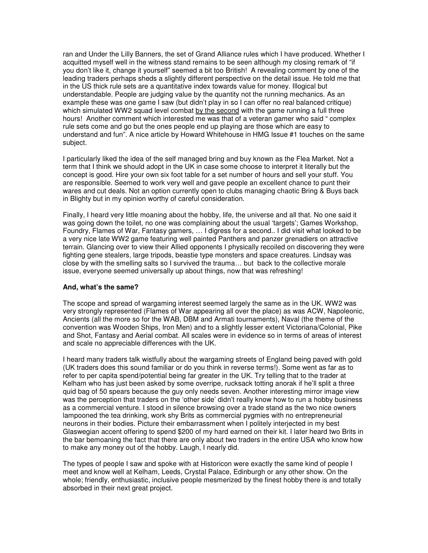ran and Under the Lilly Banners, the set of Grand Alliance rules which I have produced. Whether I acquitted myself well in the witness stand remains to be seen although my closing remark of "if you don't like it, change it yourself" seemed a bit too British! A revealing comment by one of the leading traders perhaps sheds a slightly different perspective on the detail issue. He told me that in the US thick rule sets are a quantitative index towards value for money. Illogical but understandable. People are judging value by the quantity not the running mechanics. As an example these was one game I saw (but didn't play in so I can offer no real balanced critique) which simulated WW2 squad level combat by the second with the game running a full three hours! Another comment which interested me was that of a veteran gamer who said " complex rule sets come and go but the ones people end up playing are those which are easy to understand and fun". A nice article by Howard Whitehouse in HMG Issue #1 touches on the same subject.

I particularly liked the idea of the self managed bring and buy known as the Flea Market. Not a term that I think we should adopt in the UK in case some choose to interpret it literally but the concept is good. Hire your own six foot table for a set number of hours and sell your stuff. You are responsible. Seemed to work very well and gave people an excellent chance to punt their wares and cut deals. Not an option currently open to clubs managing chaotic Bring & Buys back in Blighty but in my opinion worthy of careful consideration.

Finally, I heard very little moaning about the hobby, life, the universe and all that. No one said it was going down the toilet, no one was complaining about the usual 'targets'; Games Workshop, Foundry, Flames of War, Fantasy gamers, … I digress for a second.. I did visit what looked to be a very nice late WW2 game featuring well painted Panthers and panzer grenadiers on attractive terrain. Glancing over to view their Allied opponents I physically recoiled on discovering they were fighting gene stealers, large tripods, beastie type monsters and space creatures. Lindsay was close by with the smelling salts so I survived the trauma… but back to the collective morale issue, everyone seemed universally up about things, now that was refreshing!

## **And, what's the same?**

The scope and spread of wargaming interest seemed largely the same as in the UK. WW2 was very strongly represented (Flames of War appearing all over the place) as was ACW, Napoleonic, Ancients (all the more so for the WAB, DBM and Armati tournaments), Naval (the theme of the convention was Wooden Ships, Iron Men) and to a slightly lesser extent Victoriana/Colonial, Pike and Shot, Fantasy and Aerial combat. All scales were in evidence so in terms of areas of interest and scale no appreciable differences with the UK.

I heard many traders talk wistfully about the wargaming streets of England being paved with gold (UK traders does this sound familiar or do you think in reverse terms!). Some went as far as to refer to per capita spend/potential being far greater in the UK. Try telling that to the trader at Kelham who has just been asked by some overripe, rucksack totting anorak if he'll split a three quid bag of 50 spears because the guy only needs seven. Another interesting mirror image view was the perception that traders on the 'other side' didn't really know how to run a hobby business as a commercial venture. I stood in silence browsing over a trade stand as the two nice owners lampooned the tea drinking, work shy Brits as commercial pygmies with no entrepreneurial neurons in their bodies. Picture their embarrassment when I politely interjected in my best Glaswegian accent offering to spend \$200 of my hard earned on their kit. I later heard two Brits in the bar bemoaning the fact that there are only about two traders in the entire USA who know how to make any money out of the hobby. Laugh, I nearly did.

The types of people I saw and spoke with at Historicon were exactly the same kind of people I meet and know well at Kelham, Leeds, Crystal Palace, Edinburgh or any other show. On the whole; friendly, enthusiastic, inclusive people mesmerized by the finest hobby there is and totally absorbed in their next great project.